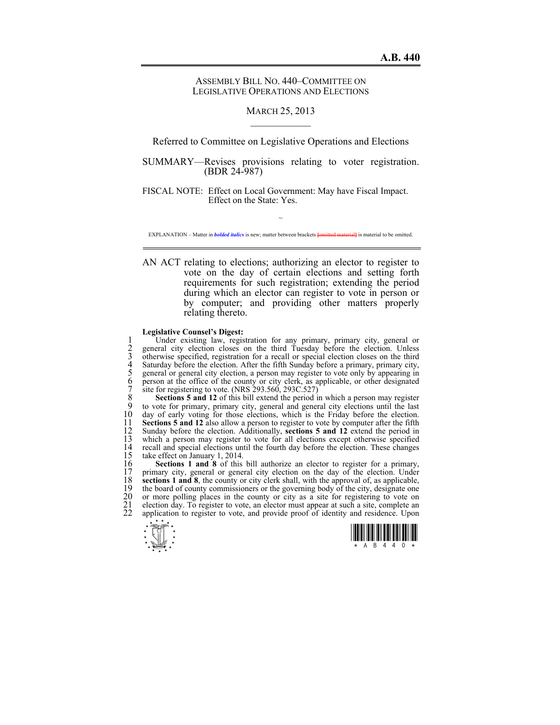## ASSEMBLY BILL NO. 440–COMMITTEE ON LEGISLATIVE OPERATIONS AND ELECTIONS

## MARCH 25, 2013  $\mathcal{L}_\text{max}$

Referred to Committee on Legislative Operations and Elections

SUMMARY—Revises provisions relating to voter registration. (BDR 24-987)

FISCAL NOTE: Effect on Local Government: May have Fiscal Impact. Effect on the State: Yes.

 $\sim$ EXPLANATION – Matter in *bolded italics* is new; matter between brackets **[**omitted material**]** is material to be omitted.

AN ACT relating to elections; authorizing an elector to register to vote on the day of certain elections and setting forth requirements for such registration; extending the period during which an elector can register to vote in person or by computer; and providing other matters properly relating thereto.

## **Legislative Counsel's Digest:**

1 Under existing law, registration for any primary, primary city, general or<br>
2 general city election closes on the third Tuesday before the election. Unless<br>
3 otherwise specified, registration for a recall or special ele 2 general city election closes on the third Tuesday before the election. Unless otherwise specified, registration for a recall or special election closes on the third Saturday before the election. After the fifth Sunday before a primary, primary city, 5 general or general city election, a person may register to vote only by appearing in 6 person at the office of the county or city clerk, as applicable, or other designated site for registering to vote. (NRS  $293.560$ ,  $293C.527$ )

8 **Sections 5 and 12** of this bill extend the period in which a person may register 9 to vote for primary, primary city, general and general city elections until the last 9 to vote for primary, primary city, general and general city elections until the last 10 day of early voting for those elections, which is the Friday before the election.<br>11 **Sections 5 and 12** also allow a person to register to vote by computer after the fifth 11 **Sections 5 and 12** also allow a person to register to vote by computer after the fifth 12 Sunday before the election. Additionally, **sections 5 and 12** extend the period in 12 Sunday before the election. Additionally, **sections 5 and 12** extend the period in 13 which a person may register to vote for all elections except otherwise specified 14 recall and special elections until the fourth day before the election. These changes 15 take effect on January 1, 2014. 15 take effect on January 1, 2014.<br>16 **Sections 1 and 8** of this

16 **Sections 1 and 8** of this bill authorize an elector to register for a primary, primary city, general or general city election on the day of the election. Under 17 primary city, general or general city election on the day of the election. Under **sections 1 and 8**, the county or city clerk shall, with the approval of, as applicable, 18 **sections 1 and 8**, the county or city clerk shall, with the approval of, as applicable, the board of county commissioners or the governing body of the city, designate one 19 the board of county commissioners or the governing body of the city, designate one 20 or more polling places in the county or city as a site for registering to vote on 20 or more polling places in the county or city as a site for registering to vote on election day. To register to vote, an elector must appear at such a site, complete an application to register to vote, and provide proof election day. To register to vote, an elector must appear at such a site, complete an application to register to vote, and provide proof of identity and residence. Upon

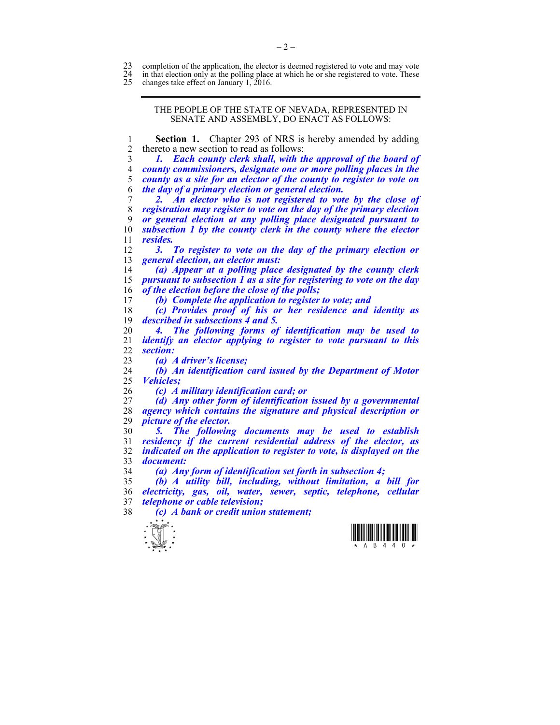23 completion of the application, the elector is deemed registered to vote and may vote in that election only at the polling place at which he or she registered to vote. These

24 in that election only at the polling place at which he or she registered to vote. These changes take effect on January 1, 2016.

changes take effect on January 1, .

THE PEOPLE OF THE STATE OF NEVADA, REPRESENTED IN SENATE AND ASSEMBLY, DO ENACT AS FOLLOWS:

**Section 1.** Chapter 293 of NRS is hereby amended by adding 2 thereto a new section to read as follows:

*1. Each county clerk shall, with the approval of the board of county commissioners, designate one or more polling places in the county as a site for an elector of the county to register to vote on the day of a primary election or general election.* 

*2. An elector who is not registered to vote by the close of registration may register to vote on the day of the primary election or general election at any polling place designated pursuant to subsection 1 by the county clerk in the county where the elector resides.* 

*3. To register to vote on the day of the primary election or general election, an elector must:* 

*(a) Appear at a polling place designated by the county clerk pursuant to subsection 1 as a site for registering to vote on the day of the election before the close of the polls;* 

*(b) Complete the application to register to vote; and* 

*(c) Provides proof of his or her residence and identity as described in subsections 4 and 5.* 

*4. The following forms of identification may be used to identify an elector applying to register to vote pursuant to this*   $section:$ 

*(a) A driver's license;* 

*(b) An identification card issued by the Department of Motor Vehicles;* 

*(c) A military identification card; or* 

*(d) Any other form of identification issued by a governmental agency which contains the signature and physical description or picture of the elector.* 

*5. The following documents may be used to establish residency if the current residential address of the elector, as indicated on the application to register to vote, is displayed on the document:* 

*(a) Any form of identification set forth in subsection 4;* 

*(b) A utility bill, including, without limitation, a bill for electricity, gas, oil, water, sewer, septic, telephone, cellular telephone or cable television;* 

*(c) A bank or credit union statement;* 



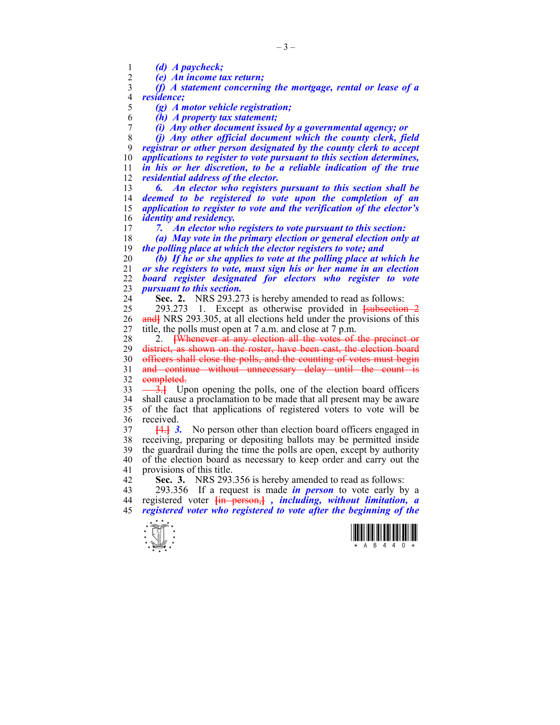1 *(d) A paycheck;* 

2 *(e) An income tax return;* 

3 *(f) A statement concerning the mortgage, rental or lease of a*  4 *residence;* 

5 *(g) A motor vehicle registration;* 

6 *(h) A property tax statement;* 

7 *(i) Any other document issued by a governmental agency; or* 

*(j) Any other official document which the county clerk, field registrar or other person designated by the county clerk to accept applications to register to vote pursuant to this section determines, in his or her discretion, to be a reliable indication of the true residential address of the elector.* 

*6. An elector who registers pursuant to this section shall be deemed to be registered to vote upon the completion of an application to register to vote and the verification of the elector's identity and residency.* 

17 *7. An elector who registers to vote pursuant to this section:* 

18 *(a) May vote in the primary election or general election only at*  19 *the polling place at which the elector registers to vote; and* 

*(b) If he or she applies to vote at the polling place at which he or she registers to vote, must sign his or her name in an election board register designated for electors who register to vote pursuant to this section.* 

24 **Sec. 2.** NRS 293.273 is hereby amended to read as follows:

25 293.273 1. Except as otherwise provided in **[**subsection 2 26 and NRS 293.305, at all elections held under the provisions of this 27 title, the polls must open at 7 a.m. and close at 7 p.m.

28 2. **[**Whenever at any election all the votes of the precinct or 29 district, as shown on the roster, have been cast, the election board 30 officers shall close the polls, and the counting of votes must begin 31 and continue without unnecessary delay until the count is 32 completed.

33  $\frac{3}{1}$  Upon opening the polls, one of the election board officers 34 shall cause a proclamation to be made that all present may be aware 35 of the fact that applications of registered voters to vote will be 36 received.

37 **[**4.**]** *3.* No person other than election board officers engaged in 38 receiving, preparing or depositing ballots may be permitted inside 39 the guardrail during the time the polls are open, except by authority 40 of the election board as necessary to keep order and carry out the 41 provisions of this title.

42 **Sec. 3.** NRS 293.356 is hereby amended to read as follows:

43 293.356 If a request is made *in person* to vote early by a 44 registered voter **[**in person,**]** *, including, without limitation, a*  45 *registered voter who registered to vote after the beginning of the* 



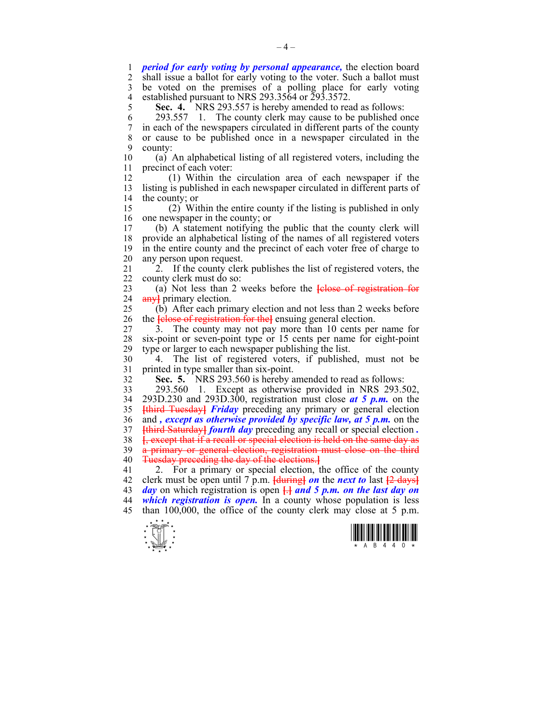1 *period for early voting by personal appearance,* the election board 2 shall issue a ballot for early voting to the voter. Such a ballot must 3 be voted on the premises of a polling place for early voting 4 established pursuant to NRS 293.3564 or 293.3572.

5 **Sec. 4.** NRS 293.557 is hereby amended to read as follows:

6 293.557 1. The county clerk may cause to be published once 7 in each of the newspapers circulated in different parts of the county 8 or cause to be published once in a newspaper circulated in the 9 county:

10 (a) An alphabetical listing of all registered voters, including the 11 precinct of each voter:

12 (1) Within the circulation area of each newspaper if the 13 listing is published in each newspaper circulated in different parts of 14 the county; or

15 (2) Within the entire county if the listing is published in only 16 one newspaper in the county; or<br>17 (b) A statement notifying the

17 (b) A statement notifying the public that the county clerk will 18 provide an alphabetical listing of the names of all registered voters 19 in the entire county and the precinct of each voter free of charge to 20 any person upon request.

21 2. If the county clerk publishes the list of registered voters, the 22 county clerk must do so:

23 (a) Not less than 2 weeks before the **[**close of registration for 24 any**]** primary election.

25 (b) After each primary election and not less than 2 weeks before 26 the **[**close of registration for the**]** ensuing general election.

27 3. The county may not pay more than 10 cents per name for 28 six-point or seven-point type or 15 cents per name for eight-point type or larger to each newspaper publishing the list. type or larger to each newspaper publishing the list.

30 4. The list of registered voters, if published, must not be 31 printed in type smaller than six-point.

32 **Sec. 5.** NRS 293.560 is hereby amended to read as follows:

33 293.560 1. Except as otherwise provided in NRS 293.502, 34 293D.230 and 293D.300, registration must close *at 5 p.m.* on the 35 **[**third Tuesday**]** *Friday* preceding any primary or general election 36 and *, except as otherwise provided by specific law, at 5 p.m.* on the 37 **[**third Saturday**]** *fourth day* preceding any recall or special election *.*  38 **[**, except that if a recall or special election is held on the same day as 39 a primary or general election, registration must close on the third 40 Tuesday preceding the day of the elections.**]**

41 2. For a primary or special election, the office of the county 42 clerk must be open until 7 p.m. **[**during**]** *on* the *next to* last **[**2 days**]** 43 *day* on which registration is open **[**.**]** *and 5 p.m. on the last day on*  44 *which registration is open.* In a county whose population is less 45 than 100,000, the office of the county clerk may close at 5 p.m.



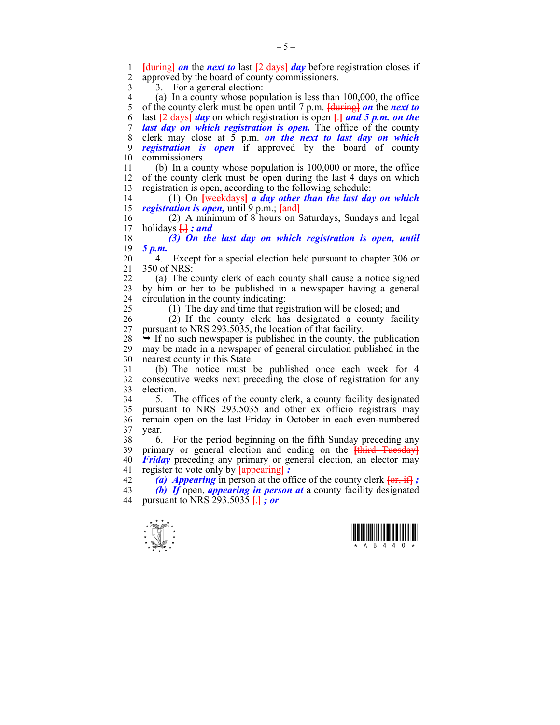1 **[**during**]** *on* the *next to* last **[**2 days**]** *day* before registration closes if approved by the board of county commissioners. 3 3. For a general election:

4 (a) In a county whose population is less than 100,000, the office 5 of the county clerk must be open until 7 p.m. **Heatler** *on* the **next to** 5 of the county clerk must be open until 7 p.m. **[**during**]** *on* the *next to*  6 last **[**2 days**]** *day* on which registration is open **[**.**]** *and 5 p.m. on the*  7 *last day on which registration is open.* The office of the county 8 clerk may close at 5 p.m. *on the next to last day on which*  9 *registration is open* if approved by the board of county 10 commissioners.

11 (b) In a county whose population is 100,000 or more, the office 12 of the county clerk must be open during the last 4 days on which 13 registration is open, according to the following schedule:

14 (1) On **[**weekdays**]** *a day other than the last day on which*  15 *registration is open,* until 9 p.m.; **[**and**]**

16 (2) A minimum of 8 hours on Saturdays, Sundays and legal 17 holidays  $H : and$ 17 holidays **[**.**]** *; and* 

18 *(3) On the last day on which registration is open, until*  19 *5 p.m.*

20 4. Except for a special election held pursuant to chapter 306 or 21 350 of NRS:

22 (a) The county clerk of each county shall cause a notice signed 23 by him or her to be published in a newspaper having a general 24 circulation in the county indicating:

25 (1) The day and time that registration will be closed; and

26 (2) If the county clerk has designated a county facility 27 pursuant to NRS 293.5035, the location of that facility.

 $28 \rightarrow$  If no such newspaper is published in the county, the publication 29 may be made in a newspaper of general circulation published in the 30 nearest county in this State.

31 (b) The notice must be published once each week for 4 32 consecutive weeks next preceding the close of registration for any 33 election.

34 5. The offices of the county clerk, a county facility designated 35 pursuant to NRS 293.5035 and other ex officio registrars may 36 remain open on the last Friday in October in each even-numbered 37 year.

38 6. For the period beginning on the fifth Sunday preceding any 39 primary or general election and ending on the **[**third Tuesday**]** 40 *Friday* preceding any primary or general election, an elector may 41 register to vote only by **[**appearing**]** *:* 

42 *(a) Appearing* in person at the office of the county clerk **[**or, if**]** *;*  43 *(b) If* open, *appearing in person at* a county facility designated 44 pursuant to NRS 293.5035 **[**.**]** *; or* 



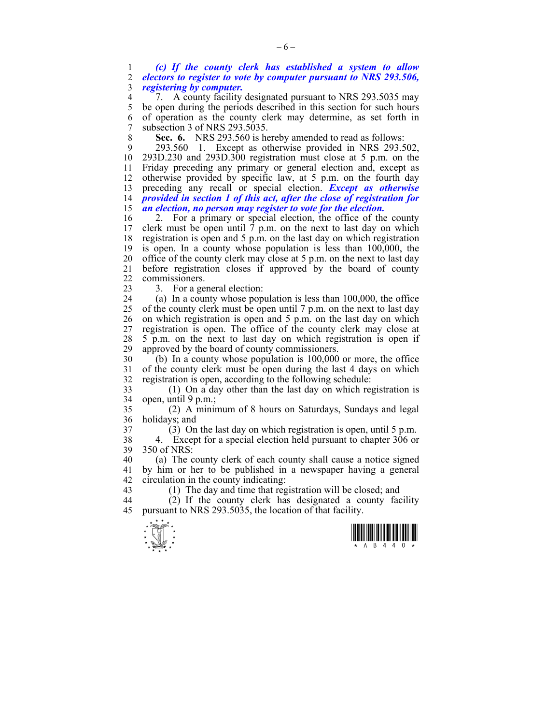1 *(c) If the county clerk has established a system to allow*  2 *electors to register to vote by computer pursuant to NRS 293.506,*  3 *registering by computer.*

4 7. A county facility designated pursuant to NRS 293.5035 may 5 be open during the periods described in this section for such hours 6 of operation as the county clerk may determine, as set forth in 7 subsection 3 of NRS 293.5035.

8 **Sec. 6.** NRS 293.560 is hereby amended to read as follows:

9 293.560 1. Except as otherwise provided in NRS 293.502, 10 293D.230 and 293D.300 registration must close at 5 p.m. on the 11 Friday preceding any primary or general election and, except as 12 otherwise provided by specific law, at 5 p.m. on the fourth day 13 preceding any recall or special election. *Except as otherwise*  14 *provided in section 1 of this act, after the close of registration for*  15 *an election, no person may register to vote for the election.* 

16 2. For a primary or special election, the office of the county 17 clerk must be open until  $\bar{7}$  p.m. on the next to last day on which 18 registration is open and 5 p.m. on the last day on which registration 19 is open. In a county whose population is less than 100,000, the 20 office of the county clerk may close at 5 p.m. on the next to last day 21 before registration closes if approved by the board of county 22 commissioners.

23 3. For a general election:

24 (a) In a county whose population is less than 100,000, the office 25 of the county clerk must be open until 7 p.m. on the next to last day 26 on which registration is open and 5 p.m. on the last day on which 27 registration is open. The office of the county clerk may close at 28 5 p.m. on the next to last day on which registration is open if 29 approved by the board of county commissioners.

30 (b) In a county whose population is 100,000 or more, the office 31 of the county clerk must be open during the last 4 days on which 32 registration is open, according to the following schedule:

33 (1) On a day other than the last day on which registration is 34 open, until 9 p.m.;

35 (2) A minimum of 8 hours on Saturdays, Sundays and legal 36 holidays; and

37 (3) On the last day on which registration is open, until 5 p.m.

38 4. Except for a special election held pursuant to chapter 306 or 39 350 of NRS:

40 (a) The county clerk of each county shall cause a notice signed 41 by him or her to be published in a newspaper having a general 42 circulation in the county indicating:

43 (1) The day and time that registration will be closed; and

44 (2) If the county clerk has designated a county facility 45 pursuant to NRS 293.5035, the location of that facility.



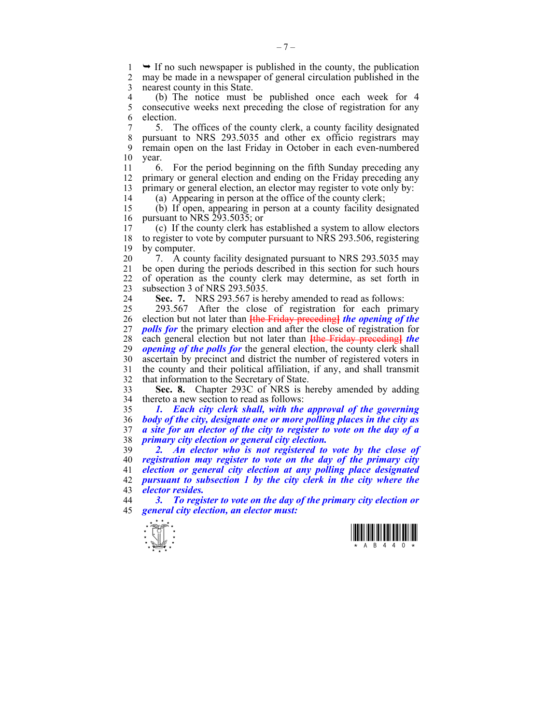$1 \rightarrow$  If no such newspaper is published in the county, the publication  $2 \text{ }$  may be made in a newspaper of general circulation published in the may be made in a newspaper of general circulation published in the 3 nearest county in this State.

4 (b) The notice must be published once each week for 4<br>5 consecutive weeks next preceding the close of registration for any 5 consecutive weeks next preceding the close of registration for any 6 election.

7 5. The offices of the county clerk, a county facility designated 8 pursuant to NRS 293.5035 and other ex officio registrars may 9 remain open on the last Friday in October in each even-numbered 10 year.

11 6. For the period beginning on the fifth Sunday preceding any 12 primary or general election and ending on the Friday preceding any 13 primary or general election, an elector may register to vote only by:

14 (a) Appearing in person at the office of the county clerk;

15 (b) If open, appearing in person at a county facility designated 16 pursuant to NRS 293.5035; or<br>17 (c) If the county clerk has

17 (c) If the county clerk has established a system to allow electors 18 to register to vote by computer pursuant to NRS 293.506, registering 19 by computer.

20 7. A county facility designated pursuant to NRS 293.5035 may 21 be open during the periods described in this section for such hours 22 of operation as the county clerk may determine, as set forth in 23 subsection 3 of NRS 293.5035.

24 **Sec. 7.** NRS 293.567 is hereby amended to read as follows:

25 293.567 After the close of registration for each primary 26 election but not later than **[**the Friday preceding**]** *the opening of the*  27 *polls for* the primary election and after the close of registration for 28 each general election but not later than **[**the Friday preceding**]** *the*  29 *opening of the polls for* the general election, the county clerk shall 30 ascertain by precinct and district the number of registered voters in 31 the county and their political affiliation, if any, and shall transmit 32 that information to the Secretary of State.

33 **Sec. 8.** Chapter 293C of NRS is hereby amended by adding 34 thereto a new section to read as follows:

*1. Each city clerk shall, with the approval of the governing body of the city, designate one or more polling places in the city as a site for an elector of the city to register to vote on the day of a primary city election or general city election.* 

*2. An elector who is not registered to vote by the close of registration may register to vote on the day of the primary city election or general city election at any polling place designated pursuant to subsection 1 by the city clerk in the city where the elector resides.* 

44 *3. To register to vote on the day of the primary city election or*  45 *general city election, an elector must:* 



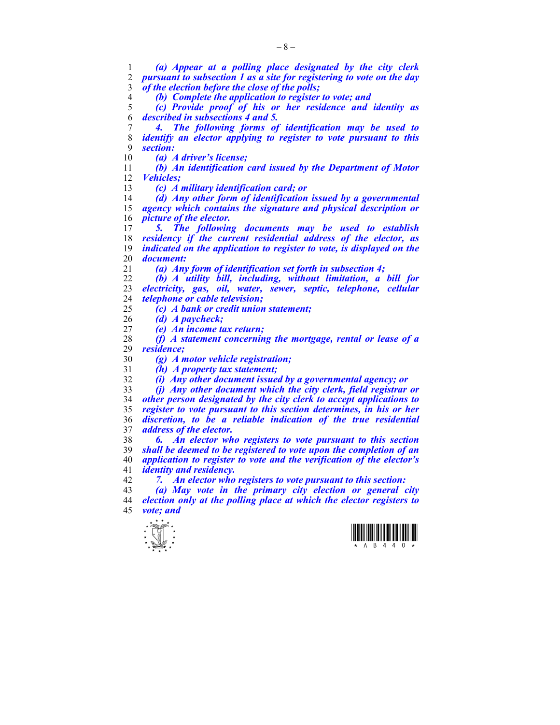*(a) Appear at a polling place designated by the city clerk pursuant to subsection 1 as a site for registering to vote on the day of the election before the close of the polls;* 

*(b) Complete the application to register to vote; and* 

*(c) Provide proof of his or her residence and identity as described in subsections 4 and 5.* 

*4. The following forms of identification may be used to identify an elector applying to register to vote pursuant to this section:* 

*(a) A driver's license;* 

*(b) An identification card issued by the Department of Motor Vehicles;* 

*(c) A military identification card; or* 

*(d) Any other form of identification issued by a governmental agency which contains the signature and physical description or picture of the elector.* 

*5. The following documents may be used to establish residency if the current residential address of the elector, as indicated on the application to register to vote, is displayed on the document:* 

*(a) Any form of identification set forth in subsection 4;* 

*(b) A utility bill, including, without limitation, a bill for electricity, gas, oil, water, sewer, septic, telephone, cellular telephone or cable television;* 

*(c) A bank or credit union statement;* 

*(d) A paycheck;* 

*(e) An income tax return;* 

*(f) A statement concerning the mortgage, rental or lease of a residence;* 

*(g) A motor vehicle registration;* 

*(h) A property tax statement;* 

*(i) Any other document issued by a governmental agency; or* 

*(j) Any other document which the city clerk, field registrar or other person designated by the city clerk to accept applications to register to vote pursuant to this section determines, in his or her discretion, to be a reliable indication of the true residential address of the elector.* 

*6. An elector who registers to vote pursuant to this section shall be deemed to be registered to vote upon the completion of an application to register to vote and the verification of the elector's identity and residency.* 

*7. An elector who registers to vote pursuant to this section:* 

*(a) May vote in the primary city election or general city election only at the polling place at which the elector registers to vote; and* 



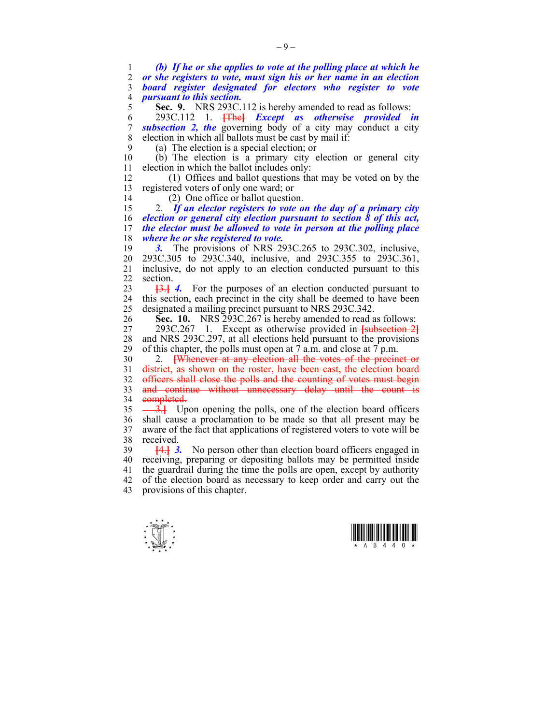1 *(b) If he or she applies to vote at the polling place at which he*  2 *or she registers to vote, must sign his or her name in an election*  3 *board register designated for electors who register to vote*  4 *pursuant to this section.*  5 **Sec. 9.** NRS 293C.112 is hereby amended to read as follows: 6 293C.112 1. **[**The**]** *Except as otherwise provided in*  7 *subsection 2, the* governing body of a city may conduct a city 8 election in which all ballots must be cast by mail if: 9 (a) The election is a special election; or 10 (b) The election is a primary city election or general city 11 election in which the ballot includes only: 12 (1) Offices and ballot questions that may be voted on by the 13 registered voters of only one ward; or 14 (2) One office or ballot question. 15 2. *If an elector registers to vote on the day of a primary city*  16 *election or general city election pursuant to section 8 of this act,*  17 *the elector must be allowed to vote in person at the polling place*  18 *where he or she registered to vote.*  19 *3.* The provisions of NRS 293C.265 to 293C.302, inclusive, 20 293C.305 to 293C.340, inclusive, and 293C.355 to 293C.361, 21 inclusive, do not apply to an election conducted pursuant to this 22 section. 23 **[**3.**]** *4.* For the purposes of an election conducted pursuant to 24 this section, each precinct in the city shall be deemed to have been 25 designated a mailing precinct pursuant to NRS 293C.342. 26 **Sec. 10.** NRS 293C.267 is hereby amended to read as follows: 27 293C.267 1. Except as otherwise provided in **[**subsection 2**]** 28 and NRS 293C.297, at all elections held pursuant to the provisions 29 of this chapter, the polls must open at 7 a.m. and close at 7 p.m. 30 2. **[**Whenever at any election all the votes of the precinct or 31 district, as shown on the roster, have been cast, the election board 32 officers shall close the polls and the counting of votes must begin 33 and continue without unnecessary delay until the count is 34 completed.  $\frac{35}{10}$  Upon opening the polls, one of the election board officers 36 shall cause a proclamation to be made so that all present may be 37 aware of the fact that applications of registered voters to vote will be 38 received. 39 **[**4.**]** *3.* No person other than election board officers engaged in 40 receiving, preparing or depositing ballots may be permitted inside 41 the guardrail during the time the polls are open, except by authority 42 of the election board as necessary to keep order and carry out the 43 provisions of this chapter.



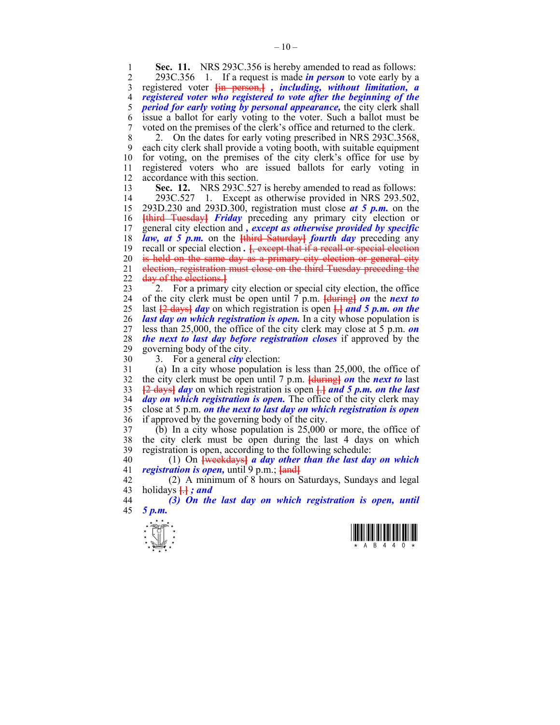**Sec. 11.** NRS 293C.356 is hereby amended to read as follows:<br>2 293C 356 1 If a request is made *in person* to vote early by a

2 293C.356 1. If a request is made *in person* to vote early by a 3 registered voter **[**in person,**]** *, including, without limitation, a*  4 *registered voter who registered to vote after the beginning of the*  5 *period for early voting by personal appearance,* the city clerk shall 6 issue a ballot for early voting to the voter. Such a ballot must be 7 voted on the premises of the clerk's office and returned to the clerk.

8 2. On the dates for early voting prescribed in NRS 293C.3568, 9 each city clerk shall provide a voting booth, with suitable equipment 10 for voting, on the premises of the city clerk's office for use by 11 registered voters who are issued ballots for early voting in 12 accordance with this section.

13 **Sec. 12.** NRS 293C.527 is hereby amended to read as follows: 14 293C.527 1. Except as otherwise provided in NRS 293.502, 15 293D.230 and 293D.300, registration must close *at 5 p.m.* on the 16 **[**third Tuesday**]** *Friday* preceding any primary city election or 17 general city election and *, except as otherwise provided by specific*  18 *law, at 5 p.m.* on the **[**third Saturday**]** *fourth day* preceding any 19 recall or special election *.* **[**, except that if a recall or special election 20 is held on the same day as a primary city election or general city 21 election, registration must close on the third Tuesday preceding the 22 day of the elections.**]**

23 2. For a primary city election or special city election, the office 24 of the city clerk must be open until 7 p.m. **[**during**]** *on* the *next to*  25 last **[**2 days**]** *day* on which registration is open **[**.**]** *and 5 p.m. on the*  26 *last day on which registration is open.* In a city whose population is 27 less than 25,000, the office of the city clerk may close at 5 p.m. *on*  28 *the next to last day before registration closes* if approved by the 29 governing body of the city.

30 3. For a general *city* election:

31 (a) In a city whose population is less than 25,000, the office of 32 the city clerk must be open until 7 p.m. **[**during**]** *on* the *next to* last 33 **[**2 days**]** *day* on which registration is open **[**.**]** *and 5 p.m. on the last*  34 *day on which registration is open.* The office of the city clerk may 35 close at 5 p.m. *on the next to last day on which registration is open*  36 if approved by the governing body of the city.

37 (b) In a city whose population is 25,000 or more, the office of 38 the city clerk must be open during the last 4 days on which 39 registration is open, according to the following schedule:

40 (1) On **[**weekdays**]** *a day other than the last day on which*  41 *registration is open,* until 9 p.m.; **[**and**]**

42 (2) A minimum of 8 hours on Saturdays, Sundays and legal 43 holidays  $\overline{H}$  *; and* 

44 *(3) On the last day on which registration is open, until*  45 *5 p.m.* 



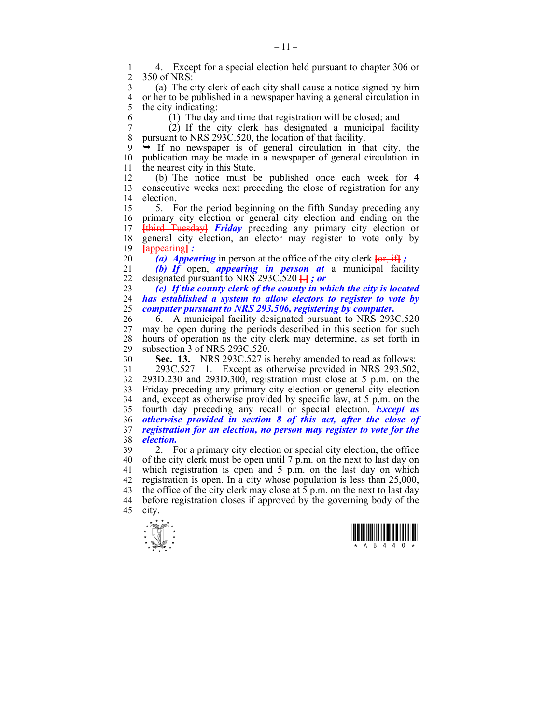1 4. Except for a special election held pursuant to chapter 306 or<br>2 350 of NRS: 2 350 of NRS:

3 (a) The city clerk of each city shall cause a notice signed by him 4 or her to be published in a newspaper having a general circulation in 5 the city indicating: the city indicating:

6 (1) The day and time that registration will be closed; and

7 (2) If the city clerk has designated a municipal facility 8 pursuant to NRS 293C.520, the location of that facility.

 $9 \rightarrow$  If no newspaper is of general circulation in that city, the 10 publication may be made in a newspaper of general circulation in 11 the nearest city in this State.

12 (b) The notice must be published once each week for 4 13 consecutive weeks next preceding the close of registration for any 14 election.

15 5. For the period beginning on the fifth Sunday preceding any 16 primary city election or general city election and ending on the 17 **[**third Tuesday**]** *Friday* preceding any primary city election or 18 general city election, an elector may register to vote only by 19 **[**appearing**]** *:* 

20  $(a)$  *Appearing* in person at the office of the city clerk  $\overline{\{or, if\}}$ ;

21 *(b) If* open, *appearing in person at* a municipal facility 22 designated pursuant to NRS 293C.520 **[**.**]** *; or* 

23 *(c) If the county clerk of the county in which the city is located*  24 *has established a system to allow electors to register to vote by*  25 *computer pursuant to NRS 293.506, registering by computer.* 

26 6. A municipal facility designated pursuant to NRS 293C.520 27 may be open during the periods described in this section for such 28 hours of operation as the city clerk may determine, as set forth in subsection 3 of NRS 293C.520. subsection  $\overline{3}$  of NRS 293C.520.

30 **Sec. 13.** NRS 293C.527 is hereby amended to read as follows:

31 293C.527 1. Except as otherwise provided in NRS 293.502, 32 293D.230 and 293D.300, registration must close at 5 p.m. on the 33 Friday preceding any primary city election or general city election 34 and, except as otherwise provided by specific law, at 5 p.m. on the 35 fourth day preceding any recall or special election. *Except as*  36 *otherwise provided in section 8 of this act, after the close of*  37 *registration for an election, no person may register to vote for the*  38 *election.* 

39 2. For a primary city election or special city election, the office 40 of the city clerk must be open until 7 p.m. on the next to last day on 41 which registration is open and 5 p.m. on the last day on which 42 registration is open. In a city whose population is less than 25,000, 43 the office of the city clerk may close at  $\bar{5}$  p.m. on the next to last day 44 before registration closes if approved by the governing body of the 45 city.



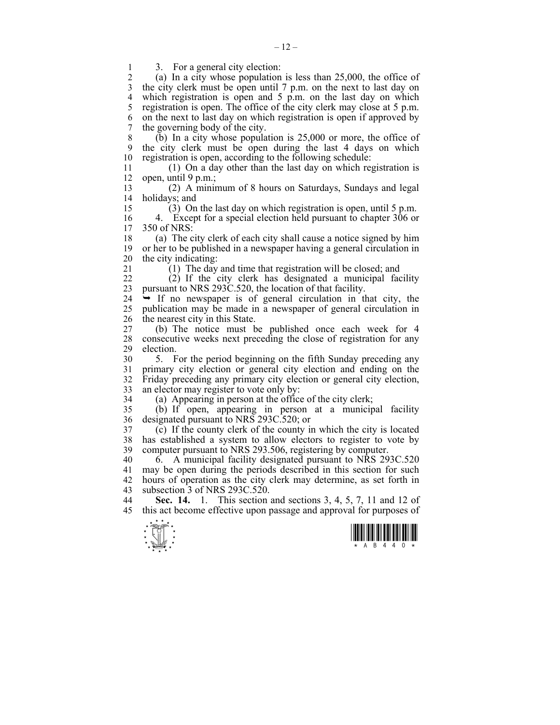1 3. For a general city election:<br>2 (a) In a city whose population

(a) In a city whose population is less than  $25,000$ , the office of 3 the city clerk must be open until 7 p.m. on the next to last day on 4 which registration is open and 5 p.m. on the last day on which 5 registration is open. The office of the city clerk may close at 5 p.m. 6 on the next to last day on which registration is open if approved by 7 the governing body of the city.

8 (b) In a city whose population is 25,000 or more, the office of 9 the city clerk must be open during the last 4 days on which 10 registration is open, according to the following schedule:

11 (1) On a day other than the last day on which registration is 12 open, until  $9 \text{ p.m.};$ 

13 (2) A minimum of 8 hours on Saturdays, Sundays and legal 14 holidays; and

15 (3) On the last day on which registration is open, until 5 p.m.

16 4. Except for a special election held pursuant to chapter 306 or 17 350 of NRS:  $350$  of NRS:

18 (a) The city clerk of each city shall cause a notice signed by him 19 or her to be published in a newspaper having a general circulation in 20 the city indicating:

21 (1) The day and time that registration will be closed; and

22 (2) If the city clerk has designated a municipal facility 23 pursuant to NRS 293C.520, the location of that facility.

 $24 \rightarrow$  If no newspaper is of general circulation in that city, the 25 publication may be made in a newspaper of general circulation in 26 the nearest city in this State.

27 (b) The notice must be published once each week for 4 28 consecutive weeks next preceding the close of registration for any election. election.

30 5. For the period beginning on the fifth Sunday preceding any 31 primary city election or general city election and ending on the 32 Friday preceding any primary city election or general city election, 33 an elector may register to vote only by:

34 (a) Appearing in person at the office of the city clerk;

35 (b) If open, appearing in person at a municipal facility 36 designated pursuant to NRS 293C.520; or

37 (c) If the county clerk of the county in which the city is located 38 has established a system to allow electors to register to vote by 39 computer pursuant to NRS 293.506, registering by computer.

40 6. A municipal facility designated pursuant to NRS 293C.520 41 may be open during the periods described in this section for such 42 hours of operation as the city clerk may determine, as set forth in 43 subsection 3 of NRS 293C.520.

44 **Sec. 14.** 1. This section and sections 3, 4, 5, 7, 11 and 12 of 45 this act become effective upon passage and approval for purposes of